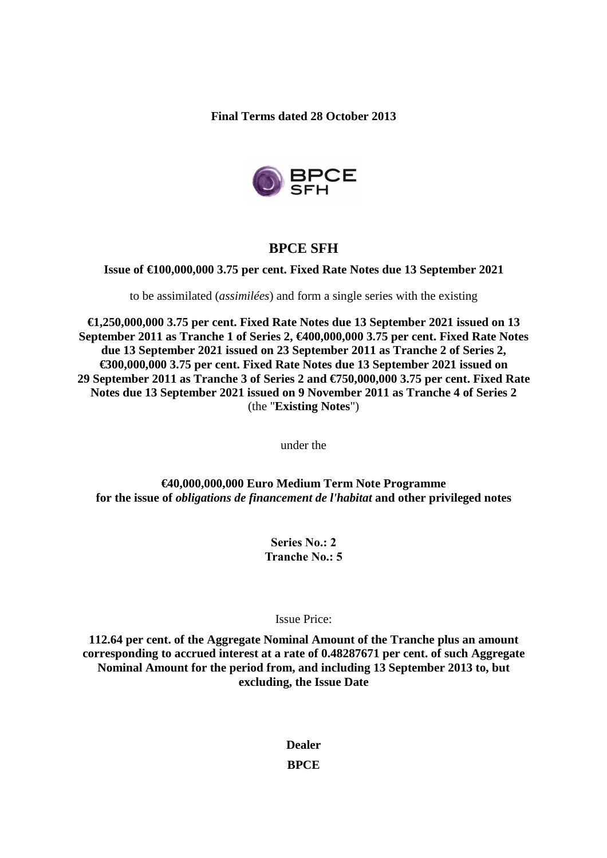**Final Terms dated 28 October 2013** 



# **BPCE SFH**

## **Issue of €100,000,000 3.75 per cent. Fixed Rate Notes due 13 September 2021**

to be assimilated (*assimilées*) and form a single series with the existing

**€1,250,000,000 3.75 per cent. Fixed Rate Notes due 13 September 2021 issued on 13 September 2011 as Tranche 1 of Series 2, €400,000,000 3.75 per cent. Fixed Rate Notes due 13 September 2021 issued on 23 September 2011 as Tranche 2 of Series 2, €300,000,000 3.75 per cent. Fixed Rate Notes due 13 September 2021 issued on 29 September 2011 as Tranche 3 of Series 2 and €750,000,000 3.75 per cent. Fixed Rate Notes due 13 September 2021 issued on 9 November 2011 as Tranche 4 of Series 2**  (the "**Existing Notes**")

under the

**€40,000,000,000 Euro Medium Term Note Programme for the issue of** *obligations de financement de l'habitat* **and other privileged notes** 

> **Series No.: 2 Tranche No.: 5**

> > Issue Price:

**112.64 per cent. of the Aggregate Nominal Amount of the Tranche plus an amount corresponding to accrued interest at a rate of 0.48287671 per cent. of such Aggregate Nominal Amount for the period from, and including 13 September 2013 to, but excluding, the Issue Date** 

> **Dealer BPCE**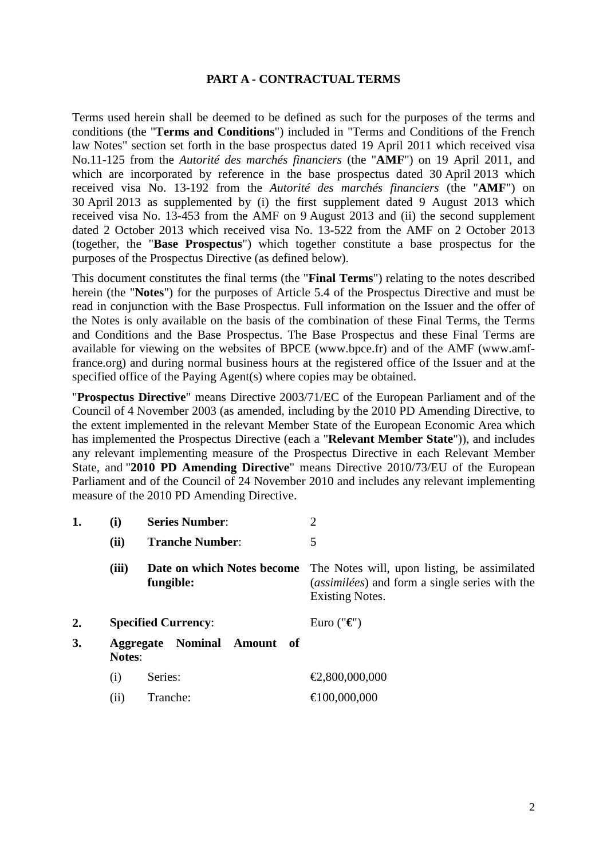## **PART A - CONTRACTUAL TERMS**

Terms used herein shall be deemed to be defined as such for the purposes of the terms and conditions (the "**Terms and Conditions**") included in "Terms and Conditions of the French law Notes" section set forth in the base prospectus dated 19 April 2011 which received visa No.11-125 from the *Autorité des marchés financiers* (the "**AMF**") on 19 April 2011, and which are incorporated by reference in the base prospectus dated 30 April 2013 which received visa No. 13-192 from the *Autorité des marchés financiers* (the "**AMF**") on 30 April 2013 as supplemented by (i) the first supplement dated 9 August 2013 which received visa No. 13-453 from the AMF on 9 August 2013 and (ii) the second supplement dated 2 October 2013 which received visa No. 13-522 from the AMF on 2 October 2013 (together, the "**Base Prospectus**") which together constitute a base prospectus for the purposes of the Prospectus Directive (as defined below).

This document constitutes the final terms (the "**Final Terms**") relating to the notes described herein (the "**Notes**") for the purposes of Article 5.4 of the Prospectus Directive and must be read in conjunction with the Base Prospectus. Full information on the Issuer and the offer of the Notes is only available on the basis of the combination of these Final Terms, the Terms and Conditions and the Base Prospectus. The Base Prospectus and these Final Terms are available for viewing on the websites of BPCE (www.bpce.fr) and of the AMF (www.amffrance.org) and during normal business hours at the registered office of the Issuer and at the specified office of the Paying Agent(s) where copies may be obtained.

"**Prospectus Directive**" means Directive 2003/71/EC of the European Parliament and of the Council of 4 November 2003 (as amended, including by the 2010 PD Amending Directive, to the extent implemented in the relevant Member State of the European Economic Area which has implemented the Prospectus Directive (each a "**Relevant Member State**")), and includes any relevant implementing measure of the Prospectus Directive in each Relevant Member State, and "**2010 PD Amending Directive**" means Directive 2010/73/EU of the European Parliament and of the Council of 24 November 2010 and includes any relevant implementing measure of the 2010 PD Amending Directive.

| 1. | (i)                        | <b>Series Number:</b>                      | $\overline{2}$                                                                                                                    |
|----|----------------------------|--------------------------------------------|-----------------------------------------------------------------------------------------------------------------------------------|
|    | (ii)                       | <b>Tranche Number:</b>                     | 5                                                                                                                                 |
|    | (iii)                      | Date on which Notes become<br>fungible:    | The Notes will, upon listing, be assimilated<br>( <i>assimilées</i> ) and form a single series with the<br><b>Existing Notes.</b> |
| 2. | <b>Specified Currency:</b> |                                            | Euro (" $\epsilon$ ")                                                                                                             |
| 3. | <b>Notes:</b>              | <b>Aggregate Nominal</b><br>Amount<br>- of |                                                                                                                                   |
|    | (i)                        | Series:                                    | €2,800,000,000                                                                                                                    |
|    | (11)                       | Tranche:                                   | €100,000,000                                                                                                                      |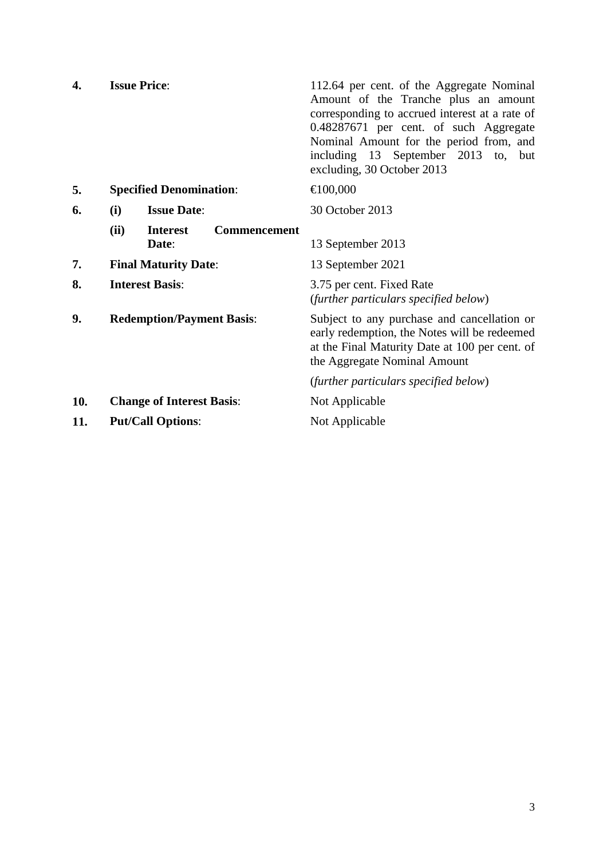| 4.  | <b>Issue Price:</b> |                                                 | 112.64 per cent. of the Aggregate Nominal<br>Amount of the Tranche plus an amount<br>corresponding to accrued interest at a rate of<br>0.48287671 per cent. of such Aggregate<br>Nominal Amount for the period from, and<br>including 13 September 2013<br>to,<br>but<br>excluding, 30 October 2013 |
|-----|---------------------|-------------------------------------------------|-----------------------------------------------------------------------------------------------------------------------------------------------------------------------------------------------------------------------------------------------------------------------------------------------------|
| 5.  |                     | <b>Specified Denomination:</b>                  | €100,000                                                                                                                                                                                                                                                                                            |
| 6.  | (i)                 | <b>Issue Date:</b>                              | 30 October 2013                                                                                                                                                                                                                                                                                     |
|     | (ii)                | <b>Commencement</b><br><b>Interest</b><br>Date: | 13 September 2013                                                                                                                                                                                                                                                                                   |
| 7.  |                     | <b>Final Maturity Date:</b>                     | 13 September 2021                                                                                                                                                                                                                                                                                   |
| 8.  |                     | <b>Interest Basis:</b>                          | 3.75 per cent. Fixed Rate<br>(further particulars specified below)                                                                                                                                                                                                                                  |
| 9.  |                     | <b>Redemption/Payment Basis:</b>                | Subject to any purchase and cancellation or<br>early redemption, the Notes will be redeemed<br>at the Final Maturity Date at 100 per cent. of<br>the Aggregate Nominal Amount                                                                                                                       |
|     |                     |                                                 | (further particulars specified below)                                                                                                                                                                                                                                                               |
| 10. |                     | <b>Change of Interest Basis:</b>                | Not Applicable                                                                                                                                                                                                                                                                                      |
| 11. |                     | <b>Put/Call Options:</b>                        | Not Applicable                                                                                                                                                                                                                                                                                      |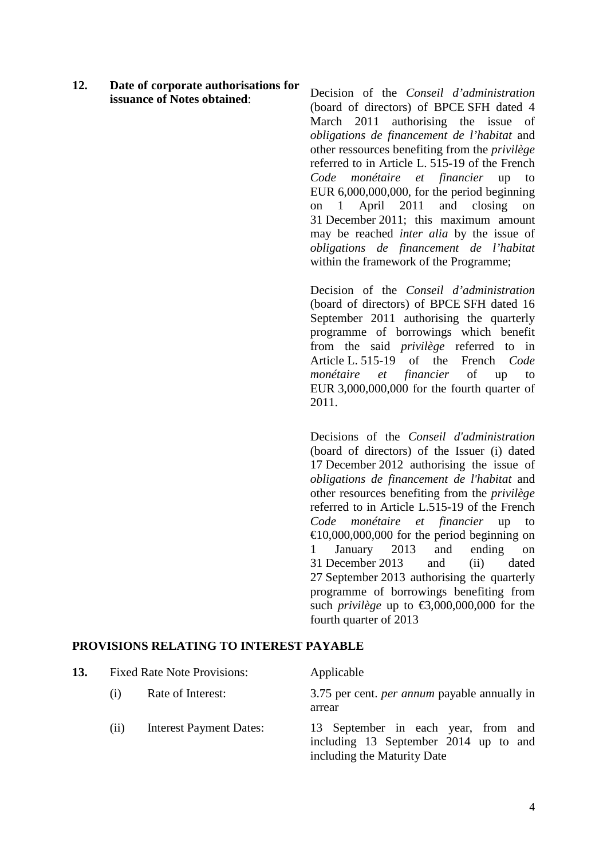**12. Date of corporate authorisations for issuance of Notes obtained**:

Decision of the *Conseil d'administration* (board of directors) of BPCE SFH dated 4 March 2011 authorising the issue of *obligations de financement de l'habitat* and other ressources benefiting from the *privilège* referred to in Article L. 515-19 of the French *Code monétaire et financier* up to EUR 6,000,000,000, for the period beginning on 1 April 2011 and closing on 31 December 2011; this maximum amount may be reached *inter alia* by the issue of *obligations de financement de l'habitat* within the framework of the Programme;

Decision of the *Conseil d'administration* (board of directors) of BPCE SFH dated 16 September 2011 authorising the quarterly programme of borrowings which benefit from the said *privilège* referred to in Article L. 515-19 of the French *Code monétaire et financier* of up to EUR 3,000,000,000 for the fourth quarter of 2011.

Decisions of the *Conseil d'administration* (board of directors) of the Issuer (i) dated 17 December 2012 authorising the issue of *obligations de financement de l'habitat* and other resources benefiting from the *privilège* referred to in Article L.515-19 of the French *Code monétaire et financier* up to  $\epsilon$ 10,000,000,000 for the period beginning on 1 January 2013 and ending on 31 December 2013 and (ii) dated 27 September 2013 authorising the quarterly programme of borrowings benefiting from such *privilège* up to  $\text{\textsterling}3,000,000,000$  for the fourth quarter of 2013

### **PROVISIONS RELATING TO INTEREST PAYABLE**

| 13. | <b>Fixed Rate Note Provisions:</b> |                                | Applicable                                                                                                  |  |  |
|-----|------------------------------------|--------------------------------|-------------------------------------------------------------------------------------------------------------|--|--|
|     | (i)                                | Rate of Interest:              | 3.75 per cent. <i>per annum</i> payable annually in<br>arrear                                               |  |  |
|     | (11)                               | <b>Interest Payment Dates:</b> | 13 September in each year, from and<br>including 13 September 2014 up to and<br>including the Maturity Date |  |  |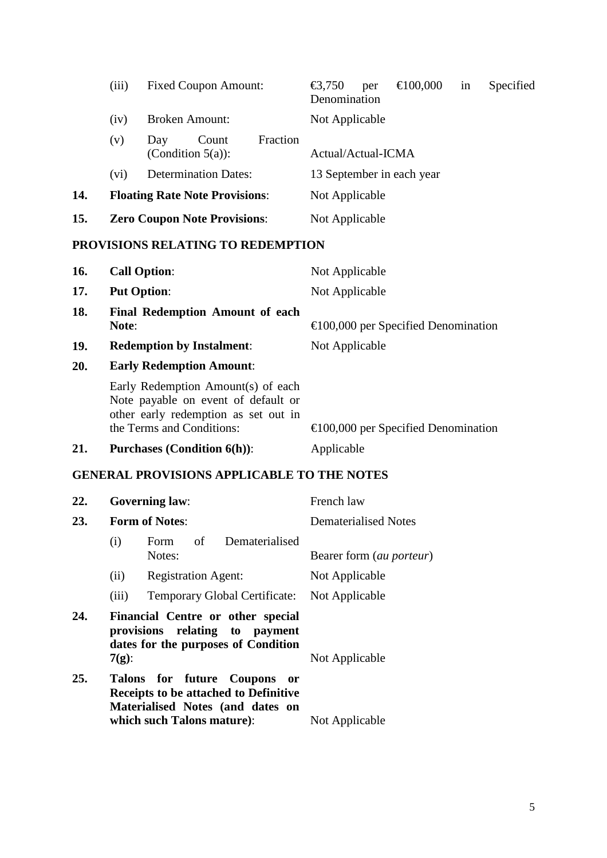|     | (iii)                                 | <b>Fixed Coupon Amount:</b>                      | €100,000<br>Secified<br>$\textcolor{red}{\textbf{\textsterling}}3,750$<br>in<br>per<br>Denomination |
|-----|---------------------------------------|--------------------------------------------------|-----------------------------------------------------------------------------------------------------|
|     | (iv)                                  | <b>Broken Amount:</b>                            | Not Applicable                                                                                      |
|     | (v)                                   | Fraction<br>Count<br>Day<br>(Condition $5(a)$ ): | Actual/Actual-ICMA                                                                                  |
|     | (vi)                                  | <b>Determination Dates:</b>                      | 13 September in each year                                                                           |
| 14. | <b>Floating Rate Note Provisions:</b> |                                                  | Not Applicable                                                                                      |
| 15. | <b>Zero Coupon Note Provisions:</b>   |                                                  | Not Applicable                                                                                      |

## **PROVISIONS RELATING TO REDEMPTION**

| 16.        | <b>Call Option:</b>                                                                                                                            | Not Applicable                                |
|------------|------------------------------------------------------------------------------------------------------------------------------------------------|-----------------------------------------------|
| 17.        | <b>Put Option:</b>                                                                                                                             | Not Applicable                                |
| 18.        | <b>Final Redemption Amount of each</b><br>Note:                                                                                                | $\epsilon$ 100,000 per Specified Denomination |
| <b>19.</b> | <b>Redemption by Instalment:</b>                                                                                                               | Not Applicable                                |
| 20.        | <b>Early Redemption Amount:</b>                                                                                                                |                                               |
|            | Early Redemption Amount(s) of each<br>Note payable on event of default or<br>other early redemption as set out in<br>the Terms and Conditions: | $\epsilon$ 100,000 per Specified Denomination |
| 21.        | <b>Purchases (Condition 6(h)):</b>                                                                                                             | Applicable                                    |

## **GENERAL PROVISIONS APPLICABLE TO THE NOTES**

| 22. |          | <b>Governing law:</b>                                                                                                                               | French law                        |
|-----|----------|-----------------------------------------------------------------------------------------------------------------------------------------------------|-----------------------------------|
| 23. |          | <b>Form of Notes:</b>                                                                                                                               | Dematerialised Notes              |
|     | (i)      | Dematerialised<br>Form of<br>Notes:                                                                                                                 | Bearer form ( <i>au porteur</i> ) |
|     | (ii)     | <b>Registration Agent:</b>                                                                                                                          | Not Applicable                    |
|     | (iii)    | Temporary Global Certificate: Not Applicable                                                                                                        |                                   |
| 24. | $7(g)$ : | Financial Centre or other special<br>provisions relating to payment<br>dates for the purposes of Condition                                          | Not Applicable                    |
| 25. |          | Talons for future Coupons<br>- or<br><b>Receipts to be attached to Definitive</b><br>Materialised Notes (and dates on<br>which such Talons mature): | Not Applicable                    |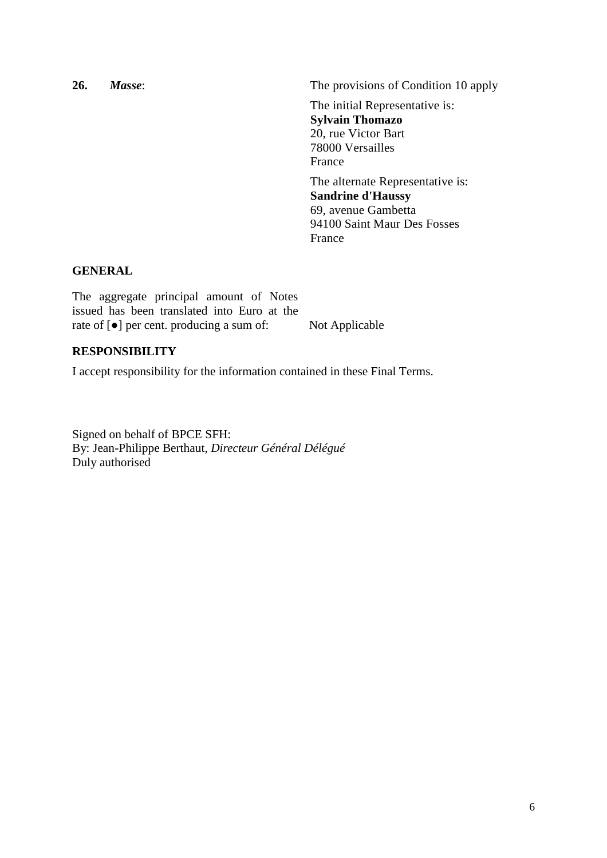**26.** *Masse*: The provisions of Condition 10 apply The initial Representative is: **Sylvain Thomazo**  20, rue Victor Bart 78000 Versailles France The alternate Representative is: **Sandrine d'Haussy**  69, avenue Gambetta 94100 Saint Maur Des Fosses

#### France

#### **GENERAL**

The aggregate principal amount of Notes issued has been translated into Euro at the rate of [●] per cent. producing a sum of: Not Applicable

### **RESPONSIBILITY**

I accept responsibility for the information contained in these Final Terms.

Signed on behalf of BPCE SFH: By: Jean-Philippe Berthaut, *Directeur Général Délégué* Duly authorised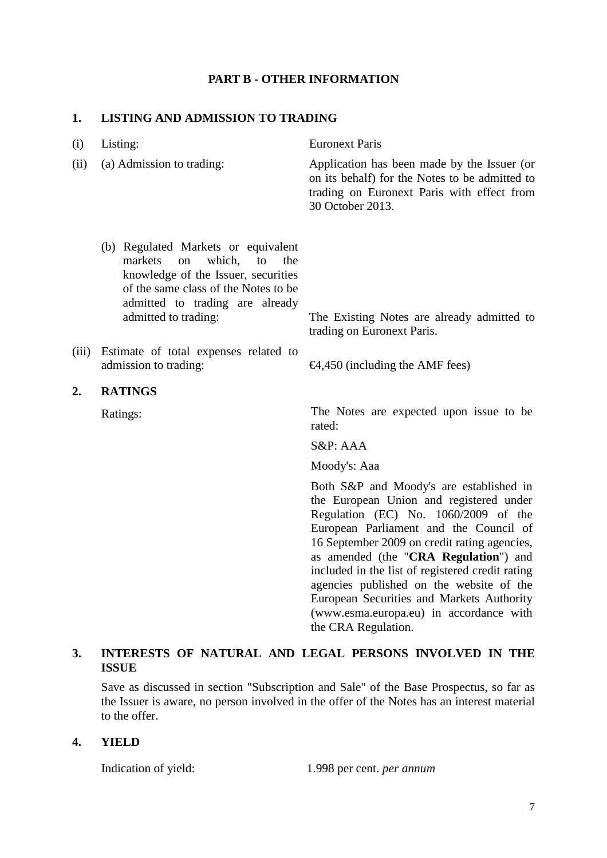### **PART B - OTHER INFORMATION**

## **1. LISTING AND ADMISSION TO TRADING**

| (i)<br>(ii) | Listing:<br>(a) Admission to trading:                                                                                                                                                                                 | <b>Euronext Paris</b><br>Application has been made by the Issuer (or<br>on its behalf) for the Notes to be admitted to<br>trading on Euronext Paris with effect from<br>30 October 2013.                                                                                                                          |
|-------------|-----------------------------------------------------------------------------------------------------------------------------------------------------------------------------------------------------------------------|-------------------------------------------------------------------------------------------------------------------------------------------------------------------------------------------------------------------------------------------------------------------------------------------------------------------|
|             | (b) Regulated Markets or equivalent<br>which,<br>markets<br>to<br>the<br>on<br>knowledge of the Issuer, securities<br>of the same class of the Notes to be<br>admitted to trading are already<br>admitted to trading: | The Existing Notes are already admitted to<br>trading on Euronext Paris.                                                                                                                                                                                                                                          |
| (iii)       | Estimate of total expenses related to<br>admission to trading:                                                                                                                                                        | €4,450 (including the AMF fees)                                                                                                                                                                                                                                                                                   |
| 2.          | <b>RATINGS</b>                                                                                                                                                                                                        |                                                                                                                                                                                                                                                                                                                   |
|             | Ratings:                                                                                                                                                                                                              | The Notes are expected upon issue to be<br>rated:                                                                                                                                                                                                                                                                 |
|             |                                                                                                                                                                                                                       | S&P:AAA                                                                                                                                                                                                                                                                                                           |
|             |                                                                                                                                                                                                                       | Moody's: Aaa                                                                                                                                                                                                                                                                                                      |
|             |                                                                                                                                                                                                                       | Both S&P and Moody's are established in<br>the European Union and registered under<br>Regulation (EC) No. 1060/2009 of the<br>European Parliament and the Council of<br>16 September 2009 on credit rating agencies,<br>as amended (the "CRA Regulation") and<br>included in the list of registered credit rating |

## **3. INTERESTS OF NATURAL AND LEGAL PERSONS INVOLVED IN THE ISSUE**

Save as discussed in section "Subscription and Sale" of the Base Prospectus, so far as the Issuer is aware, no person involved in the offer of the Notes has an interest material to the offer.

## **4. YIELD**

Indication of yield: 1.998 per cent. *per annum*

the CRA Regulation.

agencies published on the website of the European Securities and Markets Authority (www.esma.europa.eu) in accordance with